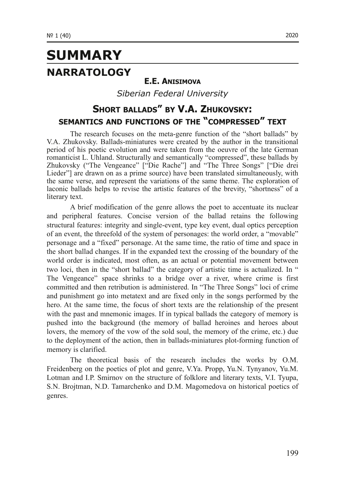# **SUMMARY NARRATOLOGY**

#### **E.E. ANISIMOVA**

*Siberian Federal University*

### **SHORT BALLADS" BY V.A. ZHUKOVSKY: SEMANTICS AND FUNCTIONS OF THE "COMPRESSED" TEXT**

The research focuses on the meta-genre function of the "short ballads" by V.A. Zhukovsky. Ballads-miniatures were created by the author in the transitional period of his poetic evolution and were taken from the oeuvre of the late German romanticist L. Uhland. Structurally and semantically "compressed", these ballads by Zhukovsky ("The Vengeance" ["Die Rache"] and "The Three Songs" ["Die drei Lieder"] are drawn on as a prime source) have been translated simultaneously, with the same verse, and represent the variations of the same theme. The exploration of laconic ballads helps to revise the artistic features of the brevity, "shortness" of a literary text.

A brief modification of the genre allows the poet to accentuate its nuclear and peripheral features. Concise version of the ballad retains the following structural features: integrity and single-event, type key event, dual optics perception of an event, the threefold of the system of personages: the world order, a "movable" personage and a "fixed" personage. At the same time, the ratio of time and space in the short ballad changes. If in the expanded text the crossing of the boundary of the world order is indicated, most often, as an actual or potential movement between two loci, then in the "short ballad" the category of artistic time is actualized. In " The Vengeance" space shrinks to a bridge over a river, where crime is first committed and then retribution is administered. In "The Three Songs" loci of crime and punishment go into metatext and are fixed only in the songs performed by the hero. At the same time, the focus of short texts are the relationship of the present with the past and mnemonic images. If in typical ballads the category of memory is pushed into the background (the memory of ballad heroines and heroes about lovers, the memory of the vow of the sold soul, the memory of the crime, etc.) due to the deployment of the action, then in ballads-miniatures plot-forming function of memory is clarified.

The theoretical basis of the research includes the works by O.M. Freidenberg on the poetics of plot and genre, V.Ya. Propp, Yu.N. Tynyanov, Yu.M. Lotman and I.P. Smirnov on the structure of folklore and literary texts, V.I. Tyupa, S.N. Brojtman, N.D. Tamarchenko and D.M. Magomedova on historical poetics of genres.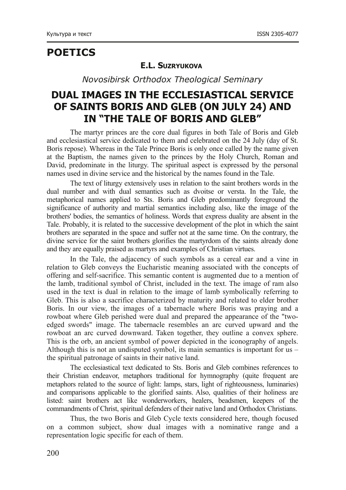### **POETICS**

#### **E.L. SUZRYUKOVA**

*Novosibirsk Orthodox Theological Seminary*

## **DUAL IMAGES IN THE ECCLESIASTICAL SERVICE OF SAINTS BORIS AND GLEB (ON JULY 24) AND IN "THE TALE OF BORIS AND GLEB"**

The martyr princes are the core dual figures in both Tale of Boris and Gleb and ecclesiastical service dedicated to them and celebrated on the 24 July (day of St. Boris repose). Whereas in the Tale Prince Boris is only once called by the name given at the Baptism, the names given to the princes by the Holy Church, Roman and David, predominate in the liturgy. The spiritual aspect is expressed by the personal names used in divine service and the historical by the names found in the Tale.

The text of liturgy extensively uses in relation to the saint brothers words in the dual number and with dual semantics such as dvoitse or versta. In the Tale, the metaphorical names applied to Sts. Boris and Gleb predominantly foreground the significance of authority and martial semantics including also, like the image of the brothers' bodies, the semantics of holiness. Words that express duality are absent in the Tale. Probably, it is related to the successive development of the plot in which the saint brothers are separated in the space and suffer not at the same time. On the contrary, the divine service for the saint brothers glorifies the martyrdom of the saints already done and they are equally praised as martyrs and examples of Christian virtues.

In the Tale, the adjacency of such symbols as a cereal ear and a vine in relation to Gleb conveys the Eucharistic meaning associated with the concepts of offering and self-sacrifice. This semantic content is augmented due to a mention of the lamb, traditional symbol of Christ, included in the text. The image of ram also used in the text is dual in relation to the image of lamb symbolically referring to Gleb. This is also a sacrifice characterized by maturity and related to elder brother Boris. In our view, the images of a tabernacle where Boris was praying and a rowboat where Gleb perished were dual and prepared the appearance of the "twoedged swords" image. The tabernacle resembles an arc curved upward and the rowboat an arc curved downward. Taken together, they outline a convex sphere. This is the orb, an ancient symbol of power depicted in the iconography of angels. Although this is not an undisputed symbol, its main semantics is important for us – the spiritual patronage of saints in their native land.

The ecclesiastical text dedicated to Sts. Boris and Gleb combines references to their Christian endeavor, metaphors traditional for hymnography (quite frequent are metaphors related to the source of light: lamps, stars, light of righteousness, luminaries) and comparisons applicable to the glorified saints. Also, qualities of their holiness are listed: saint brothers act like wonderworkers, healers, beadsmen, keepers of the commandments of Christ, spiritual defenders of their native land and Orthodox Christians.

Thus, the two Boris and Gleb Cycle texts considered here, though focused on a common subject, show dual images with a nominative range and a representation logic specific for each of them.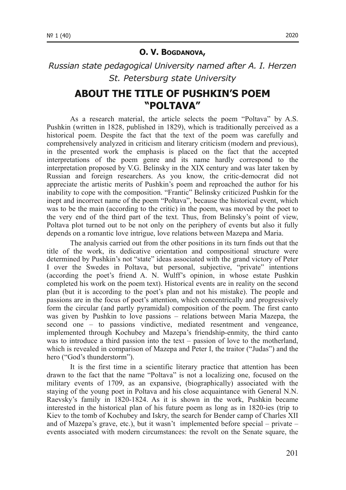#### **O. V. BOGDANOVA,**

### *Russian state pedagogical University named after A. I. Herzen St. Petersburg state University*

### **ABOUT THE TITLE OF PUSHKIN'S POEM "POLTAVA"**

As a research material, the article selects the poem "Poltava" by A.S. Pushkin (written in 1828, published in 1829), which is traditionally perceived as a historical poem. Despite the fact that the text of the poem was carefully and comprehensively analyzed in criticism and literary criticism (modern and previous), in the presented work the emphasis is placed on the fact that the accepted interpretations of the poem genre and its name hardly correspond to the interpretation proposed by V.G. Belinsky in the XIX century and was later taken by Russian and foreign researchers. As you know, the critic-democrat did not appreciate the artistic merits of Pushkin's poem and reproached the author for his inability to cope with the composition. "Frantic" Belinsky criticized Pushkin for the inept and incorrect name of the poem "Poltava", because the historical event, which was to be the main (according to the critic) in the poem, was moved by the poet to the very end of the third part of the text. Thus, from Belinsky's point of view, Poltava plot turned out to be not only on the periphery of events but also it fully depends on a romantic love intrigue, love relations between Mazepa and Maria.

The analysis carried out from the other positions in its turn finds out that the title of the work, its dedicative orientation and compositional structure were determined by Pushkin's not "state" ideas associated with the grand victory of Peter I over the Swedes in Poltava, but personal, subjective, "private" intentions (according the poet's friend A. N. Wulff's opinion, in whose estate Pushkin completed his work on the poem text). Historical events are in reality on the second plan (but it is according to the poet's plan and not his mistake). The people and passions are in the focus of poet's attention, which concentrically and progressively form the circular (and partly pyramidal) composition of the poem. The first canto was given by Pushkin to love passions – relations between Maria Mazepa, the second one – to passions vindictive, mediated resentment and vengeance, implemented through Kochubey and Mazepa's friendshipenmity, the third canto was to introduce a third passion into the text  $-$  passion of love to the motherland, which is revealed in comparison of Mazepa and Peter I, the traitor ("Judas") and the hero ("God's thunderstorm").

It is the first time in a scientific literary practice that attention has been drawn to the fact that the name "Poltava" is not a localizing one, focused on the military events of 1709, as an expansive, (biographically) associated with the staying of the young poet in Poltava and his close acquaintance with General N.N. Raevsky's family in 1820-1824. As it is shown in the work, Pushkin became interested in the historical plan of his future poem as long as in  $1820$ -ies (trip to Kiev to the tomb of Kochubey and Iskry, the search for Bender camp of Charles XII and of Mazepa's grave, etc.), but it wasn't implemented before special – private – events associated with modern circumstances: the revolt on the Senate square, the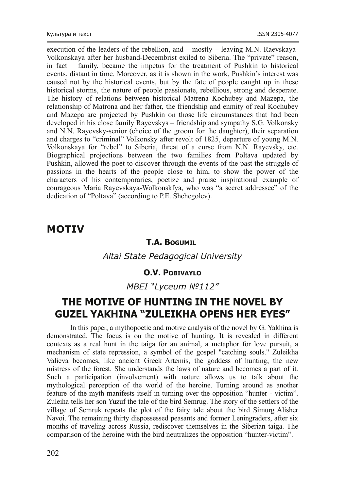execution of the leaders of the rebellion, and – mostly – leaving M.N. Raevskaya-Volkonskaya after her husband-Decembrist exiled to Siberia. The "private" reason. in fact – family, became the impetus for the treatment of Pushkin to historical events, distant in time. Moreover, as it is shown in the work, Pushkin's interest was caused not by the historical events, but by the fate of people caught up in these historical storms, the nature of people passionate, rebellious, strong and desperate. The history of relations between historical Matrena Kochubey and Mazepa, the relationship of Matrona and her father, the friendship and enmity of real Kochubey and Mazepa are projected by Pushkin on those life circumstances that had been developed in his close family Rayevskys – friendship and sympathy S.G. Volkonsky and N.N. Rayevsky-senior (choice of the groom for the daughter), their separation and charges to "criminal" Volkonsky after revolt of 1825, departure of young M.N. Volkonskaya for "rebel" to Siberia, threat of a curse from N.N. Rayevsky, etc. Biographical projections between the two families from Poltava updated by Pushkin, allowed the poet to discover through the events of the past the struggle of passions in the hearts of the people close to him, to show the power of the characters of his contemporaries, poetize and praise inspirational example of courageous Maria Rayevskaya-Wolkonskfya, who was "a secret addressee" of the dedication of "Poltava" (according to P.E. Shchegolev).

### **MOTIV**

#### **T.A. BOGUMIL**

*Altai State Pedagogical University*

### **O.V. POBIVAYLO**

### *MBEI "Lyceum №112"*

### **THE MOTIVE OF HUNTING IN THE NOVEL BY GUZEL YAKHINA "ZULEIKHA OPENS HER EYES"**

In this paper, a mythopoetic and motive analysis of the novel by G. Yakhina is demonstrated. The focus is on the motive of hunting. It is revealed in different contexts as a real hunt in the taiga for an animal, a metaphor for love pursuit, a mechanism of state repression, a symbol of the gospel "catching souls." Zuleikha Valieva becomes, like ancient Greek Artemis, the goddess of hunting, the new mistress of the forest. She understands the laws of nature and becomes a part of it. Such a participation (involvement) with nature allows us to talk about the mythological perception of the world of the heroine. Turning around as another feature of the myth manifests itself in turning over the opposition "hunter - victim". Zuleiha tells her son Yuzuf the tale of the bird Semrug. The story of the settlers of the village of Semruk repeats the plot of the fairy tale about the bird Simurg Alisher Navoi. The remaining thirty dispossessed peasants and former Leningraders, after six months of traveling across Russia, rediscover themselves in the Siberian taiga. The comparison of the heroine with the bird neutralizes the opposition "hunter-victim".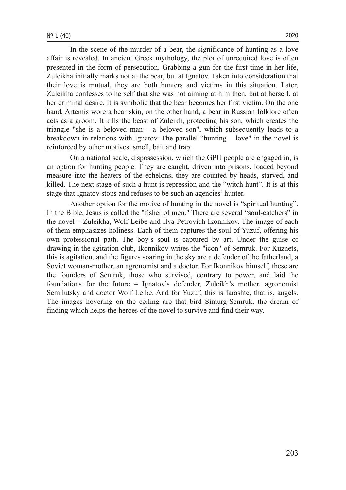In the scene of the murder of a bear, the significance of hunting as a love affair is revealed. In ancient Greek mythology, the plot of unrequited love is often presented in the form of persecution. Grabbing a gun for the first time in her life, Zuleikha initially marks not at the bear, but at Ignatov. Taken into consideration that their love is mutual, they are both hunters and victims in this situation. Later, Zuleikha confesses to herself that she was not aiming at him then, but at herself, at her criminal desire. It is symbolic that the bear becomes her first victim. On the one hand, Artemis wore a bear skin, on the other hand, a bear in Russian folklore often acts as a groom. It kills the beast of Zuleikh, protecting his son, which creates the triangle "she is a beloved  $man - a$  beloved son", which subsequently leads to a breakdown in relations with Ignatov. The parallel "hunting – love" in the novel is reinforced by other motives: smell, bait and trap.

On a national scale, dispossession, which the GPU people are engaged in, is an option for hunting people. They are caught, driven into prisons, loaded beyond measure into the heaters of the echelons, they are counted by heads, starved, and killed. The next stage of such a hunt is repression and the "witch hunt". It is at this stage that Ignatov stops and refuses to be such an agencies' hunter.

Another option for the motive of hunting in the novel is "spiritual hunting". In the Bible, Jesus is called the "fisher of men." There are several "soul-catchers" in the novel – Zuleikha, Wolf Leibe and Ilya Petrovich Ikonnikov. The image of each of them emphasizes holiness. Each of them captures the soul of Yuzuf, offering his own professional path. The boy's soul is captured by art. Under the guise of drawing in the agitation club, Ikonnikov writes the "icon" of Semruk. For Kuznets, this is agitation, and the figures soaring in the sky are a defender of the fatherland, a Soviet woman-mother, an agronomist and a doctor. For Ikonnikov himself, these are the founders of Semruk, those who survived, contrary to power, and laid the foundations for the future – Ignatov's defender, Zuleikh's mother, agronomist Semilutsky and doctor Wolf Leibe. And for Yuzuf, this is farashte, that is, angels. The images hovering on the ceiling are that bird Simurg-Semruk, the dream of finding which helps the heroes of the novel to survive and find their way.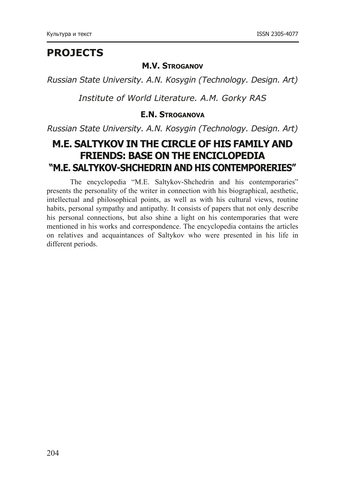## **PROJECTS**

#### **M.V. STROGANOV**

*Russian State University. A.N. Kosygin (Technology. Design. Art)*

*Institute of World Literature. A.M. Gorky RAS*

### **E.N. STROGANOVA**

*Russian State University. A.N. Kosygin (Technology. Design. Art)*

### **M.E. SALTYKOV IN THE CIRCLE OF HIS FAMILY AND FRIENDS: BASE ON THE ENCICLOPEDIA "M.E. SALTYKOV-SHCHEDRIN AND HIS CONTEMPORERIES"**

The encyclopedia "M.E. Saltykov-Shchedrin and his contemporaries" presents the personality of the writer in connection with his biographical, aesthetic, intellectual and philosophical points, as well as with his cultural views, routine habits, personal sympathy and antipathy. It consists of papers that not only describe his personal connections, but also shine a light on his contemporaries that were mentioned in his works and correspondence. The encyclopedia contains the articles on relatives and acquaintances of Saltykov who were presented in his life in different periods.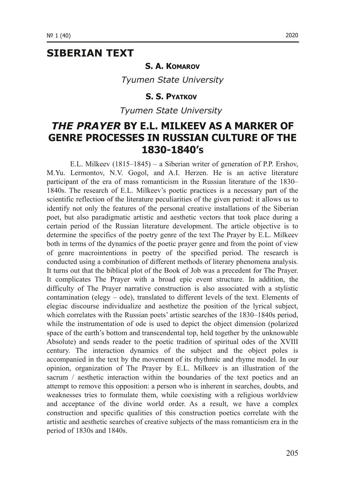### **SIBERIAN TEXT**

#### **S. A. KOMAROV**

*Tyumen State University*

#### **S. S. PYATKOV**

*Tyumen State University* 

### *THE PRAYER* **BY E.L. MILKEEV AS A MARKER OF GENRE PROCESSES IN RUSSIAN CULTURE OF THE 18301840'S**

E.L. Milkeev (1815–1845) – a Siberian writer of generation of P.P. Ershov, M.Yu. Lermontov, N.V. Gogol, and A.I. Herzen. He is an active literature participant of the era of mass romanticism in the Russian literature of the 1830– 1840s. The research of E.L. Milkeev's poetic practices is a necessary part of the scientific reflection of the literature peculiarities of the given period: it allows us to identify not only the features of the personal creative installations of the Siberian poet, but also paradigmatic artistic and aesthetic vectors that took place during a certain period of the Russian literature development. The article objective is to determine the specifics of the poetry genre of the text The Prayer by E.L. Milkeev both in terms of the dynamics of the poetic prayer genre and from the point of view of genre macrointentions in poetry of the specified period. The research is conducted using a combination of different methods of literary phenomena analysis. It turns out that the biblical plot of the Book of Job was a precedent for The Prayer. It complicates The Prayer with a broad epic event structure. In addition, the difficulty of The Prayer narrative construction is also associated with a stylistic contamination (elegy  $-$  ode), translated to different levels of the text. Elements of elegiac discourse individualize and aesthetize the position of the lyrical subject, which correlates with the Russian poets' artistic searches of the 1830–1840s period, while the instrumentation of ode is used to depict the object dimension (polarized space of the earth's bottom and transcendental top, held together by the unknowable Absolute) and sends reader to the poetic tradition of spiritual odes of the XVIII century. The interaction dynamics of the subject and the object poles is accompanied in the text by the movement of its rhythmic and rhyme model. In our opinion, organization of The Prayer by E.L. Milkeev is an illustration of the sacrum  $\ell$  aesthetic interaction within the boundaries of the text poetics and an attempt to remove this opposition: a person who is inherent in searches, doubts, and weaknesses tries to formulate them, while coexisting with a religious worldview and acceptance of the divine world order. As a result, we have a complex construction and specific qualities of this construction poetics correlate with the artistic and aesthetic searches of creative subjects of the mass romanticism era in the period of 1830s and 1840s.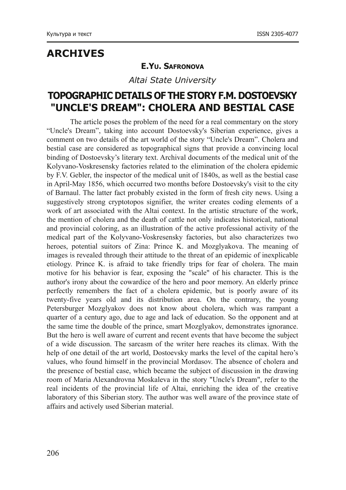## **ARCHIVES**

### **E.YU. SAFRONOVA**

*Altai State University*

### **TOPOGRAPHIC DETAILS OF THE STORY F.M. DOSTOEVSKY "UNCLE'S DREAM": CHOLERA AND BESTIAL CASE**

The article poses the problem of the need for a real commentary on the story "Uncle's Dream", taking into account Dostoevsky's Siberian experience, gives a comment on two details of the art world of the story "Uncle's Dream". Cholera and bestial case are considered as topographical signs that provide a convincing local binding of Dostoevsky's literary text. Archival documents of the medical unit of the Kolyvano-Voskresensky factories related to the elimination of the cholera epidemic by F.V. Gebler, the inspector of the medical unit of 1840s, as well as the bestial case in April-May 1856, which occurred two months before Dostoevsky's visit to the city of Barnaul. The latter fact probably existed in the form of fresh city news. Using a suggestively strong cryptotopos signifier, the writer creates coding elements of a work of art associated with the Altai context. In the artistic structure of the work, the mention of cholera and the death of cattle not only indicates historical, national and provincial coloring, as an illustration of the active professional activity of the medical part of the Kolyvano-Voskresensky factories, but also characterizes two heroes, potential suitors of Zina: Prince K. and Mozglyakova. The meaning of images is revealed through their attitude to the threat of an epidemic of inexplicable etiology. Prince K. is afraid to take friendly trips for fear of cholera. The main motive for his behavior is fear, exposing the "scale" of his character. This is the author's irony about the cowardice of the hero and poor memory. An elderly prince perfectly remembers the fact of a cholera epidemic, but is poorly aware of its twenty-five vears old and its distribution area. On the contrary, the young Petersburger Mozglyakov does not know about cholera, which was rampant a quarter of a century ago, due to age and lack of education. So the opponent and at the same time the double of the prince, smart Mozglyakov, demonstrates ignorance. But the hero is well aware of current and recent events that have become the subject of a wide discussion. The sarcasm of the writer here reaches its climax. With the help of one detail of the art world, Dostoevsky marks the level of the capital hero's values, who found himself in the provincial Mordasov. The absence of cholera and the presence of bestial case, which became the subject of discussion in the drawing room of Maria Alexandrovna Moskaleva in the story "Uncle's Dream", refer to the real incidents of the provincial life of Altai, enriching the idea of the creative laboratory of this Siberian story. The author was well aware of the province state of affairs and actively used Siberian material.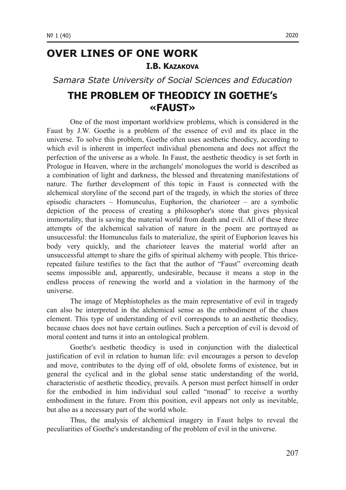## **OVER LINES OF ONE WORK I.B. KAZAKOVA**

*Samara State University of Social Sciences and Education*

### **THE PROBLEM OF THEODICY IN GOETHE'S «FAUST»**

One of the most important worldview problems, which is considered in the Faust by J.W. Goethe is a problem of the essence of evil and its place in the universe. To solve this problem, Goethe often uses aesthetic theodicy, according to which evil is inherent in imperfect individual phenomena and does not affect the perfection of the universe as a whole. In Faust, the aesthetic theodicy is set forth in Prologue in Heaven, where in the archangels' monologues the world is described as a combination of light and darkness, the blessed and threatening manifestations of nature. The further development of this topic in Faust is connected with the alchemical storyline of the second part of the tragedy, in which the stories of three episodic characters  $-$  Homunculus, Euphorion, the charioteer  $-$  are a symbolic depiction of the process of creating a philosopher's stone that gives physical immortality, that is saving the material world from death and evil. All of these three attempts of the alchemical salvation of nature in the poem are portrayed as unsuccessful: the Homunculus fails to materialize, the spirit of Euphorion leaves his body very quickly, and the charioteer leaves the material world after an unsuccessful attempt to share the gifts of spiritual alchemy with people. This thricerepeated failure testifies to the fact that the author of "Faust" overcoming death seems impossible and, apparently, undesirable, because it means a stop in the endless process of renewing the world and a violation in the harmony of the universe.

The image of Mephistopheles as the main representative of evil in tragedy can also be interpreted in the alchemical sense as the embodiment of the chaos element. This type of understanding of evil corresponds to an aesthetic theodicy, because chaos does not have certain outlines. Such a perception of evil is devoid of moral content and turns it into an ontological problem.

Goethe's aesthetic theodicy is used in conjunction with the dialectical justification of evil in relation to human life: evil encourages a person to develop and move, contributes to the dying off of old, obsolete forms of existence, but in general the cyclical and in the global sense static understanding of the world, characteristic of aesthetic theodicy, prevails. A person must perfect himself in order for the embodied in him individual soul called "monad" to receive a worthy embodiment in the future. From this position, evil appears not only as inevitable, but also as a necessary part of the world whole.

Thus, the analysis of alchemical imagery in Faust helps to reveal the peculiarities of Goethe's understanding of the problem of evil in the universe.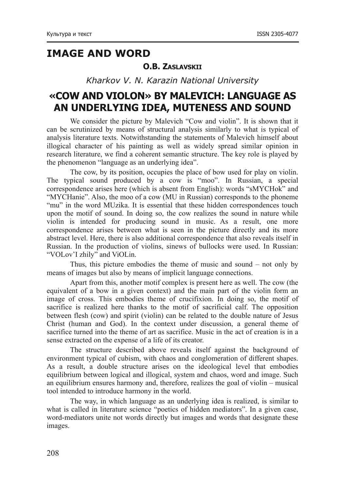## **IMAGE AND WORD**

### **O.B. ZASLAVSKII**

*Kharkov V. N. Karazin National University*

## **«COW AND VIOLON» BY MALEVICH: LANGUAGE AS AN UNDERLYING IDEA, MUTENESS AND SOUND**

We consider the picture by Malevich "Cow and violin". It is shown that it can be scrutinized by means of structural analysis similarly to what is typical of analysis literature texts. Notwithstanding the statements of Malevich himself about illogical character of his painting as well as widely spread similar opinion in research literature, we find a coherent semantic structure. The key role is played by the phenomenon "language as an underlying idea".

The cow, by its position, occupies the place of bow used for play on violin. The typical sound produced by a cow is "moo". In Russian, a special correspondence arises here (which is absent from English): words "sMYCHok" and "MYCHanie". Also, the moo of a cow (MU in Russian) corresponds to the phoneme "mu" in the word MUzika. It is essential that these hidden correspondences touch upon the motif of sound. In doing so, the cow realizes the sound in nature while violin is intended for producing sound in music. As a result, one more correspondence arises between what is seen in the picture directly and its more abstract level. Here, there is also additional correspondence that also reveals itself in Russian. In the production of violins, sinews of bullocks were used. In Russian: "VOLov'I zhily" and ViOLin.

Thus, this picture embodies the theme of music and sound  $-$  not only by means of images but also by means of implicit language connections.

Apart from this, another motif complex is present here as well. The cow (the equivalent of a bow in a given context) and the main part of the violin form an image of cross. This embodies theme of crucifixion. In doing so, the motif of sacrifice is realized here thanks to the motif of sacrificial calf. The opposition between flesh (cow) and spirit (violin) can be related to the double nature of Jesus Christ (human and God). In the context under discussion, a general theme of sacrifice turned into the theme of art as sacrifice. Music in the act of creation is in a sense extracted on the expense of a life of its creator.

The structure described above reveals itself against the background of environment typical of cubism, with chaos and conglomeration of different shapes. As a result, a double structure arises on the ideological level that embodies equilibrium between logical and illogical, system and chaos, word and image. Such an equilibrium ensures harmony and, therefore, realizes the goal of violin – musical tool intended to introduce harmony in the world.

The way, in which language as an underlying idea is realized, is similar to what is called in literature science "poetics of hidden mediators". In a given case, word-mediators unite not words directly but images and words that designate these images.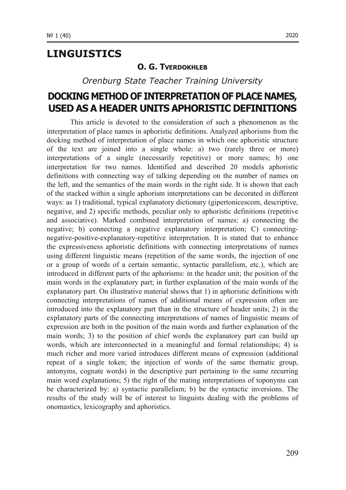### **LINGUISTICS**

#### **O. G. TVERDOKHI FB**

*Orenburg State Teacher Training University*

### **DOCKING METHOD OF INTERPRETATION OF PLACE NAMES, USED AS A HEADER UNITS APHORISTIC DEFINITIONS**

This article is devoted to the consideration of such a phenomenon as the interpretation of place names in aphoristic definitions. Analyzed aphorisms from the docking method of interpretation of place names in which one aphoristic structure of the text are joined into a single whole: a) two (rarely three or more) interpretations of a single (necessarily repetitive) or more names; b) one interpretation for two names. Identified and described 20 models aphoristic definitions with connecting way of talking depending on the number of names on the left, and the semantics of the main words in the right side. It is shown that each of the stacked within a single aphorism interpretations can be decorated in different ways: as 1) traditional, typical explanatory dictionary (gipertonicescom, descriptive, negative, and 2) specific methods, peculiar only to aphoristic definitions (repetitive and associative). Marked combined interpretation of names: a) connecting the negative; b) connecting a negative explanatory interpretation; C) connectingnegative-positive-explanatory-repetitive interpretation. It is stated that to enhance the expressiveness aphoristic definitions with connecting interpretations of names using different linguistic means (repetition of the same words, the injection of one or a group of words of a certain semantic, syntactic parallelism, etc.), which are introduced in different parts of the aphorisms: in the header unit; the position of the main words in the explanatory part; in further explanation of the main words of the explanatory part. On illustrative material shows that 1) in aphoristic definitions with connecting interpretations of names of additional means of expression often are introduced into the explanatory part than in the structure of header units; 2) in the explanatory parts of the connecting interpretations of names of linguistic means of expression are both in the position of the main words and further explanation of the main words; 3) to the position of chief words the explanatory part can build up words, which are interconnected in a meaningful and formal relationships; 4) is much richer and more varied introduces different means of expression (additional repeat of a single token; the injection of words of the same thematic group, antonyms, cognate words) in the descriptive part pertaining to the same recurring main word explanations; 5) the right of the mating interpretations of toponyms can be characterized by: a) syntactic parallelism; b) be the syntactic inversions. The results of the study will be of interest to linguists dealing with the problems of onomastics, lexicography and aphoristics.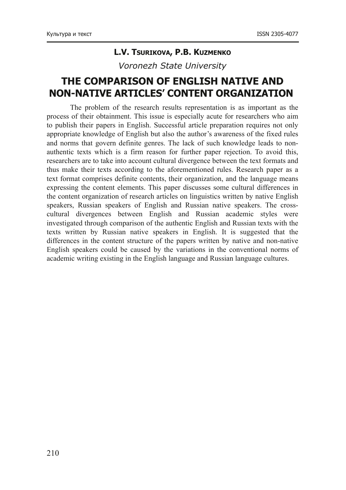#### **L.V. TSURIKOVA, P.B. KUZMENKO**

*Voronezh State University*

## **THE COMPARISON OF ENGLISH NATIVE AND NON-NATIVE ARTICLES' CONTENT ORGANIZATION**

The problem of the research results representation is as important as the process of their obtainment. This issue is especially acute for researchers who aim to publish their papers in English. Successful article preparation requires not only appropriate knowledge of English but also the author's awareness of the fixed rules and norms that govern definite genres. The lack of such knowledge leads to nonauthentic texts which is a firm reason for further paper rejection. To avoid this, researchers are to take into account cultural divergence between the text formats and thus make their texts according to the aforementioned rules. Research paper as a text format comprises definite contents, their organization, and the language means expressing the content elements. This paper discusses some cultural differences in the content organization of research articles on linguistics written by native English speakers, Russian speakers of English and Russian native speakers. The crosscultural divergences between English and Russian academic styles were investigated through comparison of the authentic English and Russian texts with the texts written by Russian native speakers in English. It is suggested that the differences in the content structure of the papers written by native and non-native English speakers could be caused by the variations in the conventional norms of academic writing existing in the English language and Russian language cultures.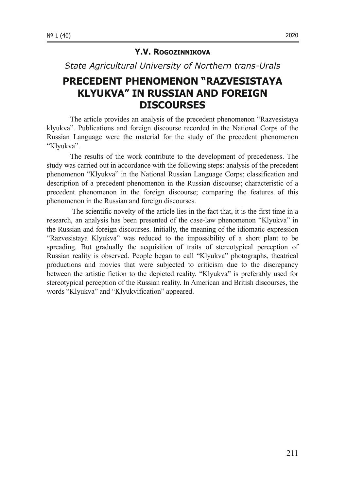#### **Y.V. ROGOZINNIKOVA**

**State Agricultural University of Northern trans-Urals** 

### **PRECEDENT PHENOMENON "RAZVESISTAYA KLYUKVA" IN RUSSIAN AND FOREIGN DISCOURSES**

The article provides an analysis of the precedent phenomenon "Razvesistaya klyukva". Publications and foreign discourse recorded in the National Corps of the Russian Language were the material for the study of the precedent phenomenon "Klyukva".

The results of the work contribute to the development of precedeness. The study was carried out in accordance with the following steps: analysis of the precedent phenomenon "Klyukva" in the National Russian Language Corps; classification and description of a precedent phenomenon in the Russian discourse; characteristic of a precedent phenomenon in the foreign discourse; comparing the features of this phenomenon in the Russian and foreign discourses.

 The scientific novelty of the article lies in the fact that, it is the first time in a research, an analysis has been presented of the caselaw phenomenon "Klyukva" in the Russian and foreign discourses. Initially, the meaning of the idiomatic expression "Razvesistaya Klyukva" was reduced to the impossibility of a short plant to be spreading. But gradually the acquisition of traits of stereotypical perception of Russian reality is observed. People began to call "Klyukva" photographs, theatrical productions and movies that were subjected to criticism due to the discrepancy between the artistic fiction to the depicted reality. "Klyukva" is preferably used for stereotypical perception of the Russian reality. In American and British discourses, the words "Klyukva" and "Klyukvification" appeared.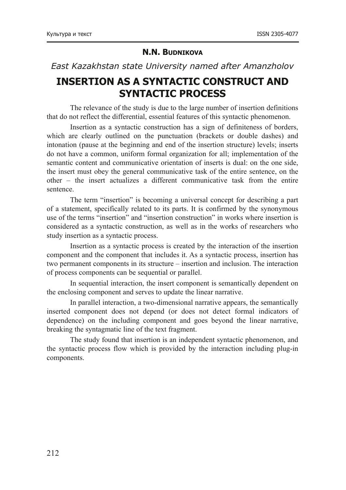#### **N.N. BUDNIKOVA**

#### *East Kazakhstan state University named after Amanzholov*

### **INSERTION AS A SYNTACTIC CONSTRUCT AND SYNTACTIC PROCESS**

The relevance of the study is due to the large number of insertion definitions that do not reflect the differential, essential features of this syntactic phenomenon.

Insertion as a syntactic construction has a sign of definiteness of borders, which are clearly outlined on the punctuation (brackets or double dashes) and intonation (pause at the beginning and end of the insertion structure) levels; inserts do not have a common, uniform formal organization for all; implementation of the semantic content and communicative orientation of inserts is dual: on the one side, the insert must obey the general communicative task of the entire sentence, on the other – the insert actualizes a different communicative task from the entire sentence.

The term "insertion" is becoming a universal concept for describing a part of a statement, specifically related to its parts. It is confirmed by the synonymous use of the terms "insertion" and "insertion construction" in works where insertion is considered as a syntactic construction, as well as in the works of researchers who study insertion as a syntactic process.

Insertion as a syntactic process is created by the interaction of the insertion component and the component that includes it. As a syntactic process, insertion has two permanent components in its structure – insertion and inclusion. The interaction of process components can be sequential or parallel.

In sequential interaction, the insert component is semantically dependent on the enclosing component and serves to update the linear narrative.

In parallel interaction, a two-dimensional narrative appears, the semantically inserted component does not depend (or does not detect formal indicators of dependence) on the including component and goes beyond the linear narrative, breaking the syntagmatic line of the text fragment.

The study found that insertion is an independent syntactic phenomenon, and the syntactic process flow which is provided by the interaction including plug-in components.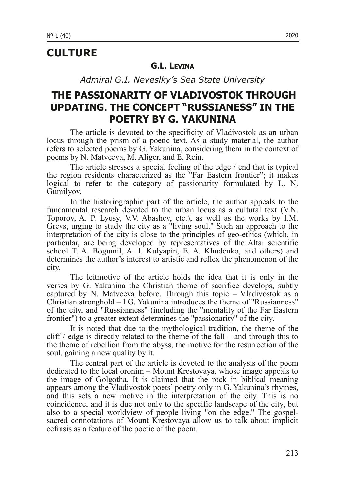### **CULTURE**

#### **G.L. LEVINA**

*Admiral G.I. Neveslky's Sea State University*

### **THE PASSIONARITY OF VLADIVOSTOK THROUGH UPDATING. THE CONCEPT "RUSSIANESS" IN THE POETRY BY G. YAKUNINA**

The article is devoted to the specificity of Vladivostok as an urban locus through the prism of a poetic text. As a study material, the author refers to selected poems by G. Yakunina, considering them in the context of poems by N. Matveeva, M. Aliger, and E. Rein.

The article stresses a special feeling of the edge / end that is typical the region residents characterized as the "Far Eastern frontier"; it makes logical to refer to the category of passionarity formulated by L. N. Gumilyov.

In the historiographic part of the article, the author appeals to the fundamental research devoted to the urban locus as a cultural text (V.N. Toporov, A. P. Lyusy, V.V. Abashev, etc.), as well as the works by I.M. Grevs, urging to study the city as a "living soul." Such an approach to the interpretation of the city is close to the principles of geo-ethics (which, in particular, are being developed by representatives of the Altai scientific school T. A. Bogumil, A. I. Kulyapin, E. A. Khudenko, and others) and determines the author's interest to artistic and reflex the phenomenon of the city.

The leitmotive of the article holds the idea that it is only in the verses by G. Yakunina the Christian theme of sacrifice develops, subtly captured by N. Matveeva before. Through this topic – Vladivostok as a Christian stronghold – l G. Yakunina introduces the theme of "Russianness" of the city, and "Russianness" (including the "mentality of the Far Eastern frontier") to a greater extent determines the "passionarity" of the city.

It is noted that due to the mythological tradition, the theme of the cliff / edge is directly related to the theme of the fall – and through this to the theme of rebellion from the abyss, the motive for the resurrection of the soul, gaining a new quality by it.

The central part of the article is devoted to the analysis of the poem dedicated to the local oronim – Mount Krestovaya, whose image appeals to the image of Golgotha. It is claimed that the rock in biblical meaning appears among the Vladivostok poets' poetry only in G. Yakunina's rhymes, and this sets a new motive in the interpretation of the city. This is no coincidence, and it is due not only to the specific landscape of the city, but also to a special worldview of people living "on the edge." The gospelsacred connotations of Mount Krestovaya allow us to talk about implicit ecfrasis as a feature of the poetic of the poem.